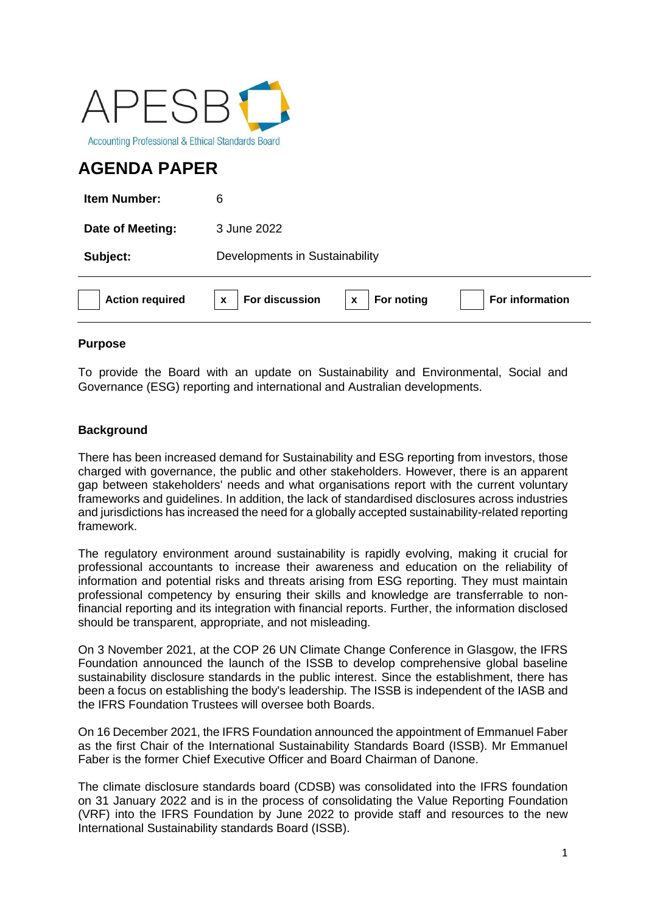

# **AGENDA PAPER**

| <b>Action required</b> | For discussion<br>For noting<br>For information<br>X<br>X |
|------------------------|-----------------------------------------------------------|
| Subject:               | Developments in Sustainability                            |
| Date of Meeting:       | 3 June 2022                                               |
| <b>Item Number:</b>    | 6                                                         |

# **Purpose**

To provide the Board with an update on Sustainability and Environmental, Social and Governance (ESG) reporting and international and Australian developments.

# **Background**

There has been increased demand for Sustainability and ESG reporting from investors, those charged with governance, the public and other stakeholders. However, there is an apparent gap between stakeholders' needs and what organisations report with the current voluntary frameworks and guidelines. In addition, the lack of standardised disclosures across industries and jurisdictions has increased the need for a globally accepted sustainability-related reporting framework.

The regulatory environment around sustainability is rapidly evolving, making it crucial for professional accountants to increase their awareness and education on the reliability of information and potential risks and threats arising from ESG reporting. They must maintain professional competency by ensuring their skills and knowledge are transferrable to nonfinancial reporting and its integration with financial reports. Further, the information disclosed should be transparent, appropriate, and not misleading.

On 3 November 2021, at the COP 26 UN Climate Change Conference in Glasgow, the IFRS Foundation announced the launch of the ISSB to develop comprehensive global baseline sustainability disclosure standards in the public interest. Since the establishment, there has been a focus on establishing the body's leadership. The ISSB is independent of the IASB and the IFRS Foundation Trustees will oversee both Boards.

On 16 December 2021, the IFRS Foundation announced the appointment of Emmanuel Faber as the first Chair of the International Sustainability Standards Board (ISSB). Mr Emmanuel Faber is the former Chief Executive Officer and Board Chairman of Danone.

The climate disclosure standards board (CDSB) was consolidated into the IFRS foundation on 31 January 2022 and is in the process of consolidating the Value Reporting Foundation (VRF) into the IFRS Foundation by June 2022 to provide staff and resources to the new International Sustainability standards Board (ISSB).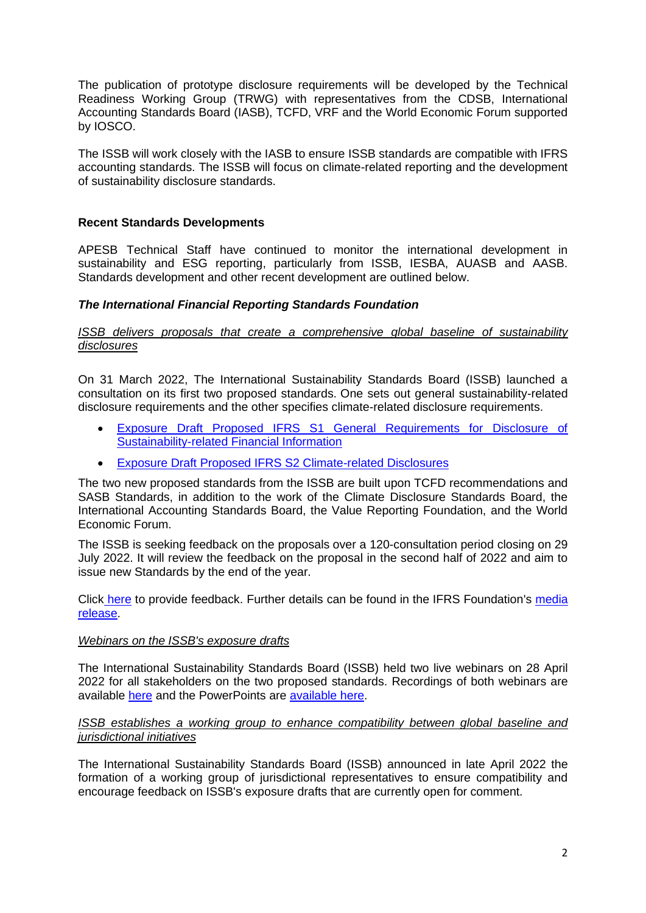The publication of prototype disclosure requirements will be developed by the Technical Readiness Working Group (TRWG) with representatives from the CDSB, International Accounting Standards Board (IASB), TCFD, VRF and the World Economic Forum supported by IOSCO.

The ISSB will work closely with the IASB to ensure ISSB standards are compatible with IFRS accounting standards. The ISSB will focus on climate-related reporting and the development of sustainability disclosure standards.

# **Recent Standards Developments**

APESB Technical Staff have continued to monitor the international development in sustainability and ESG reporting, particularly from ISSB, IESBA, AUASB and AASB. Standards development and other recent development are outlined below.

## *The International Financial Reporting Standards Foundation*

#### **ISSB delivers proposals that create a comprehensive global baseline of sustainability** *disclosures*

On 31 March 2022, The International Sustainability Standards Board (ISSB) launched a consultation on its first two proposed standards. One sets out general sustainability-related disclosure requirements and the other specifies climate-related disclosure requirements.

- [Exposure Draft Proposed IFRS S1 General Requirements for Disclosure of](https://www.ifrs.org/content/dam/ifrs/project/general-sustainability-related-disclosures/exposure-draft-ifrs-s1-general-requirements-for-disclosure-of-sustainability-related-financial-information.pdf)  [Sustainability-related Financial Information](https://www.ifrs.org/content/dam/ifrs/project/general-sustainability-related-disclosures/exposure-draft-ifrs-s1-general-requirements-for-disclosure-of-sustainability-related-financial-information.pdf)
- **[Exposure Draft Proposed IFRS S2 Climate-related Disclosures](https://www.ifrs.org/content/dam/ifrs/project/climate-related-disclosures/issb-exposure-draft-2022-2-climate-related-disclosures.pdf)**

The two new proposed standards from the ISSB are built upon TCFD recommendations and SASB Standards, in addition to the work of the Climate Disclosure Standards Board, the International Accounting Standards Board, the Value Reporting Foundation, and the World Economic Forum.

The ISSB is seeking feedback on the proposals over a 120-consultation period closing on 29 July 2022. It will review the feedback on the proposal in the second half of 2022 and aim to issue new Standards by the end of the year.

Click [here](https://www.ifrs.org/projects/open-for-comment/) to provide feedback. Further details can be found in the IFRS Foundation's [media](https://www.ifrs.org/news-and-events/news/2022/03/issb-delivers-proposals-that-create-comprehensive-global-baseline-of-sustainability-disclosures/)  [release.](https://www.ifrs.org/news-and-events/news/2022/03/issb-delivers-proposals-that-create-comprehensive-global-baseline-of-sustainability-disclosures/)

#### *Webinars on the ISSB's exposure drafts*

The International Sustainability Standards Board (ISSB) held two live webinars on 28 April 2022 for all stakeholders on the two proposed standards. Recordings of both webinars are available [here](https://www.ifrs.org/projects/work-plan/climate-related-disclosures/webinars-on-the-issbs-exposure-drafts/) and the PowerPoints are [available here.](https://www.ifrs.org/content/dam/ifrs/project/climate-related-disclosures/supporting-materials/issb-webinar-presentation-april-2022.pdf)

#### *ISSB establishes a working group to enhance compatibility between global baseline and jurisdictional initiatives*

The International Sustainability Standards Board (ISSB) announced in late April 2022 the formation of a working group of jurisdictional representatives to ensure compatibility and encourage feedback on ISSB's exposure drafts that are currently open for comment.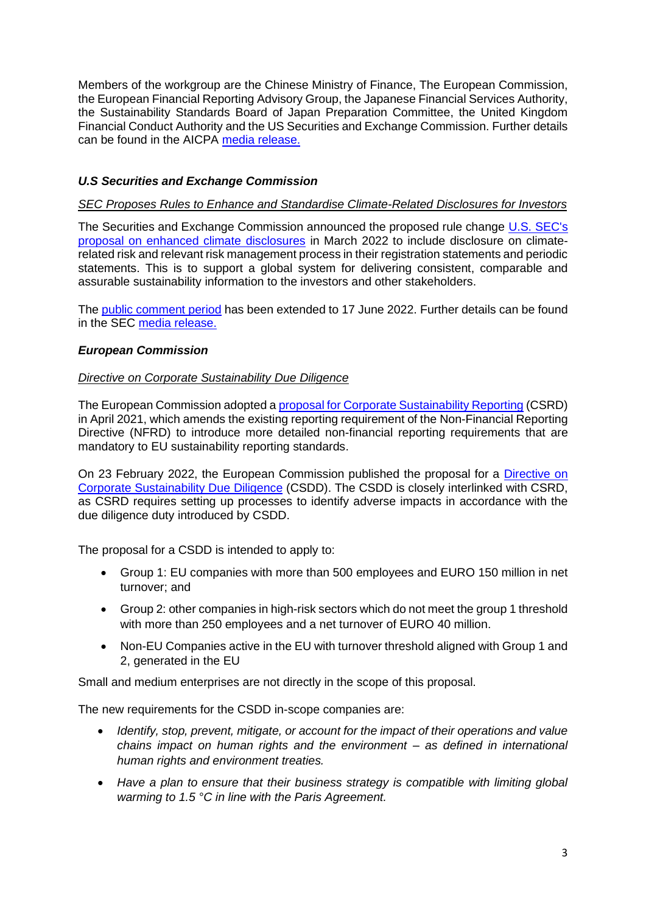Members of the workgroup are the Chinese Ministry of Finance, The European Commission, the European Financial Reporting Advisory Group, the Japanese Financial Services Authority, the Sustainability Standards Board of Japan Preparation Committee, the United Kingdom Financial Conduct Authority and the US Securities and Exchange Commission. Further details can be found in the AICPA [media release.](https://www.ifrs.org/news-and-events/news/2022/04/issb-establishes-working-group-to-enhance-compatibility-between-global-baseline-and-jurisdictional-initiatives/)

# *U.S Securities and Exchange Commission*

### *SEC Proposes Rules to Enhance and Standardise Climate-Related Disclosures for Investors*

The Securities and Exchange Commission announced the proposed rule change [U.S. SEC's](https://www.sec.gov/news/press-release/2022-46)  [proposal on enhanced climate disclosures](https://www.sec.gov/news/press-release/2022-46) in March 2022 to include disclosure on climaterelated risk and relevant risk management process in their registration statements and periodic statements. This is to support a global system for delivering consistent, comparable and assurable sustainability information to the investors and other stakeholders.

The [public comment period](https://www.sec.gov/news/press-release/2022-82) has been extended to 17 June 2022. Further details can be found in the SEC [media release.](https://www.sec.gov/news/press-release/2022-46)

#### *European Commission*

#### *Directive on Corporate Sustainability Due Diligence*

The European Commission adopted [a proposal for Corporate Sustainability Reporting](https://eur-lex.europa.eu/legal-content/EN/TXT/?uri=CELEX:52021PC0189) (CSRD) in April 2021, which amends the existing reporting requirement of the Non-Financial Reporting Directive (NFRD) to introduce more detailed non-financial reporting requirements that are mandatory to EU sustainability reporting standards.

On 23 February 2022, the European Commission published the proposal for a [Directive on](https://ec.europa.eu/info/publications/proposal-directive-corporate-sustainable-due-diligence-and-annex_en)  [Corporate Sustainability Due Diligence](https://ec.europa.eu/info/publications/proposal-directive-corporate-sustainable-due-diligence-and-annex_en) (CSDD). The CSDD is closely interlinked with CSRD, as CSRD requires setting up processes to identify adverse impacts in accordance with the due diligence duty introduced by CSDD.

The proposal for a CSDD is intended to apply to:

- Group 1: EU companies with more than 500 employees and EURO 150 million in net turnover; and
- Group 2: other companies in high-risk sectors which do not meet the group 1 threshold with more than 250 employees and a net turnover of EURO 40 million.
- Non-EU Companies active in the EU with turnover threshold aligned with Group 1 and 2, generated in the EU

Small and medium enterprises are not directly in the scope of this proposal.

The new requirements for the CSDD in-scope companies are:

- *Identify, stop, prevent, mitigate, or account for the impact of their operations and value chains impact on human rights and the environment – as defined in international human rights and environment treaties.*
- *Have a plan to ensure that their business strategy is compatible with limiting global warming to 1.5 °C in line with the Paris Agreement.*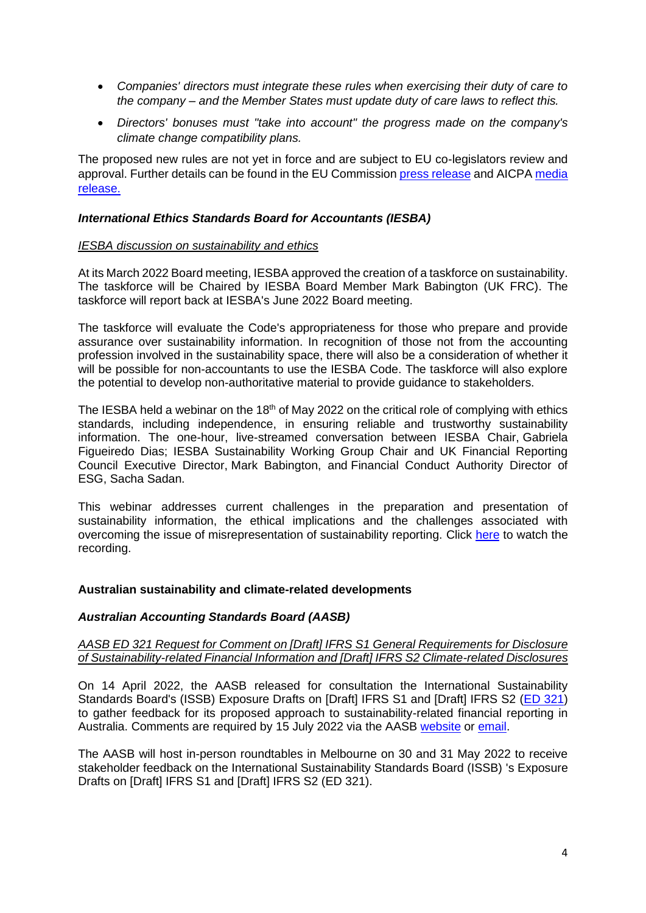- *Companies' directors must integrate these rules when exercising their duty of care to the company – and the Member States must update duty of care laws to reflect this.*
- *Directors' bonuses must "take into account" the progress made on the company's climate change compatibility plans.*

The proposed new rules are not yet in force and are subject to EU co-legislators review and approval. Further details can be found in the EU Commission press [release](https://ec.europa.eu/commission/presscorner/detail/en/ip_22_1145) and AICPA [media](https://www.aicpa.org/news/article/directive-on-corporate-sustainability-due-diligence)  [release.](https://www.aicpa.org/news/article/directive-on-corporate-sustainability-due-diligence)

## *International Ethics Standards Board for Accountants (IESBA)*

#### *IESBA discussion on sustainability and ethics*

At its March 2022 Board meeting, IESBA approved the creation of a taskforce on sustainability. The taskforce will be Chaired by IESBA Board Member Mark Babington (UK FRC). The taskforce will report back at IESBA's June 2022 Board meeting.

The taskforce will evaluate the Code's appropriateness for those who prepare and provide assurance over sustainability information. In recognition of those not from the accounting profession involved in the sustainability space, there will also be a consideration of whether it will be possible for non-accountants to use the IESBA Code. The taskforce will also explore the potential to develop non-authoritative material to provide guidance to stakeholders.

The IESBA held a webinar on the 18<sup>th</sup> of May 2022 on the critical role of complying with ethics standards, including independence, in ensuring reliable and trustworthy sustainability information. The one-hour, live-streamed conversation between IESBA Chair, [Gabriela](https://www.linkedin.com/in/gabriela-figueiredo-dias-921768b/)  [Figueiredo Dias;](https://www.linkedin.com/in/gabriela-figueiredo-dias-921768b/) IESBA Sustainability Working Group Chair and UK Financial Reporting Council Executive Director, [Mark Babington,](https://www.ifac.org/who-we-are/leadership/mark-babington) and Financial Conduct Authority Director of ESG, [Sacha Sadan](https://www.speakersforschools.org/speakers/sacha-sadan/).

This webinar addresses current challenges in the preparation and presentation of sustainability information, the ethical implications and the challenges associated with overcoming the issue of misrepresentation of sustainability reporting. Click [here](https://www.ethicsboard.org/news-events/2022-05/watch-now-iesba-discussion-sustainability-and-ethics) to watch the recording.

## **Australian sustainability and climate-related developments**

## *Australian Accounting Standards Board (AASB)*

#### *AASB ED 321 Request for Comment on [Draft] IFRS S1 General Requirements for Disclosure of Sustainability-related Financial Information and [Draft] IFRS S2 Climate-related Disclosures*

On 14 April 2022, the AASB released for consultation the International Sustainability Standards Board's (ISSB) Exposure Drafts on [Draft] IFRS S1 and [Draft] IFRS S2 [\(ED 321\)](https://aasb.gov.au/admin/file/content105/c9/ACCED321-04-21.pdf) to gather feedback for its proposed approach to sustainability-related financial reporting in Australia. Comments are required by 15 July 2022 via the AASB [website](https://www.aasb.gov.au/current-projects/open-for-comment/) or [email.](mailto:standard@aasb.gov.au%20%3cstandard@aasb.gov.au%3e;)

The AASB will host in-person roundtables in Melbourne on 30 and 31 May 2022 to receive stakeholder feedback on the International Sustainability Standards Board (ISSB) 's Exposure Drafts on [Draft] IFRS S1 and [Draft] IFRS S2 (ED 321).